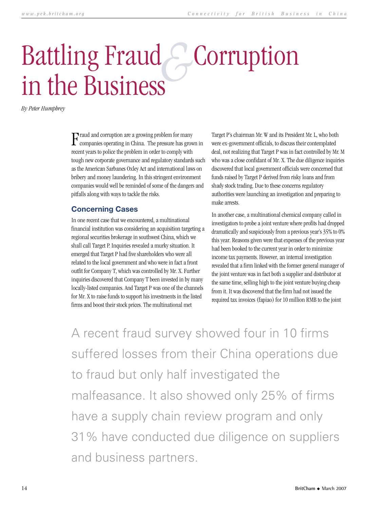## Battling Fraud Corruption in the Business *&*

*By Peter Humphrey*

 ${\bf F}^{\rm rand}$  and corruption are a growing problem for many companies operating in China. The pressure has grown in raud and corruption are a growing problem for many recent years to police the problem in order to comply with tough new corporate governance and regulatory standards such as the American Sarbanes Oxley Act and international laws on bribery and money laundering. In this stringent environment companies would well be reminded of some of the dangers and pitfalls along with ways to tackle the risks.

## **Concerning Cases**

In one recent case that we encountered, a multinational financial institution was considering an acquisition targeting a regional securities brokerage in southwest China, which we shall call Target P. Inquiries revealed a murky situation. It emerged that Target P had five shareholders who were all related to the local government and who were in fact a front outfit for Company T, which was controlled by Mr. X. Further inquiries discovered that Company T been invested in by many locally-listed companies. And Target P was one of the channels for Mr. X to raise funds to support his investments in the listed firms and boost their stock prices. The multinational met

Target P's chairman Mr. W and its President Mr. L, who both were ex-government officials, to discuss their contemplated deal, not realizing that Target P was in fact controlled by Mr. M who was a close confidant of Mr. X. The due diligence inquiries discovered that local government officials were concerned that funds raised by Target P derived from risky loans and from shady stock trading. Due to these concerns regulatory authorities were launching an investigation and preparing to make arrests.

In another case, a multinational chemical company called in investigators to probe a joint venture where profits had dropped dramatically and suspiciously from a previous year's 35% to 0% this year. Reasons given were that expenses of the previous year had been booked to the current year in order to minimize income tax payments. However, an internal investigation revealed that a firm linked with the former general manager of the joint venture was in fact both a supplier and distributor at the same time, selling high to the joint venture buying cheap from it. It was discovered that the firm had not issued the required tax invoices (fapiao) for 10 million RMB to the joint

A recent fraud survey showed four in 10 firms suffered losses from their China operations due to fraud but only half investigated the malfeasance. It also showed only 25% of firms have a supply chain review program and only 31% have conducted due diligence on suppliers and business partners.